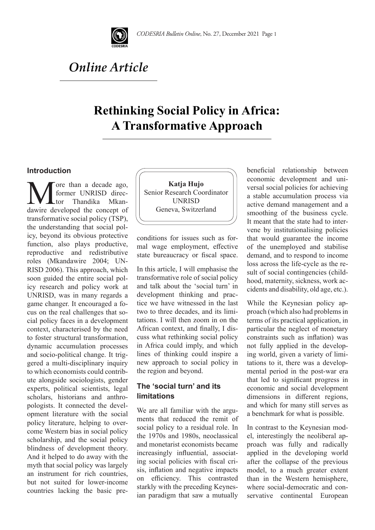

# *Online Article*

# **Rethinking Social Policy in Africa: A Transformative Approach**

#### **Introduction**

More than a decade ago,<br>former UNRISD direc-<br>dawire developed the concept of former UNRISD director Thandika Mkantransformative social policy (TSP), the understanding that social policy, beyond its obvious protective function, also plays productive, reproductive and redistributive roles (Mkandawire 2004; UN-RISD 2006). This approach, which soon guided the entire social policy research and policy work at UNRISD, was in many regards a game changer. It encouraged a focus on the real challenges that social policy faces in a development context, characterised by the need to foster structural transformation, dynamic accumulation processes and socio-political change. It triggered a multi-disciplinary inquiry to which economists could contribute alongside sociologists, gender experts, political scientists, legal scholars, historians and anthropologists. It connected the development literature with the social policy literature, helping to overcome Western bias in social policy scholarship, and the social policy blindness of development theory. And it helped to do away with the myth that social policy was largely an instrument for rich countries, but not suited for lower-income countries lacking the basic pre-



conditions for issues such as formal wage employment, effective state bureaucracy or fiscal space.

In this article, I will emphasise the transformative role of social policy and talk about the 'social turn' in development thinking and practice we have witnessed in the last two to three decades, and its limitations. I will then zoom in on the African context, and finally, I discuss what rethinking social policy in Africa could imply, and which lines of thinking could inspire a new approach to social policy in the region and beyond.

### **The 'social turn' and its limitations**

We are all familiar with the arguments that reduced the remit of social policy to a residual role. In the 1970s and 1980s, neoclassical and monetarist economists became increasingly influential, associating social policies with fiscal crisis, inflation and negative impacts efficiency. This contrasted starkly with the preceding Keynesian paradigm that saw a mutually

beneficial relationship between economic development and universal social policies for achieving a stable accumulation process via active demand management and a smoothing of the business cycle. It meant that the state had to intervene by institutionalising policies that would guarantee the income of the unemployed and stabilise demand, and to respond to income loss across the life-cycle as the result of social contingencies (childhood, maternity, sickness, work accidents and disability, old age, etc.).

While the Keynesian policy approach (which also had problems in terms of its practical application, in particular the neglect of monetary constraints such as inflation) was not fully applied in the developing world, given a variety of limitations to it, there was a developmental period in the post-war era that led to significant progress in economic and social development dimensions in different regions, and which for many still serves as a benchmark for what is possible.

In contrast to the Keynesian model, interestingly the neoliberal approach was fully and radically applied in the developing world after the collapse of the previous model, to a much greater extent than in the Western hemisphere, where social-democratic and conservative continental European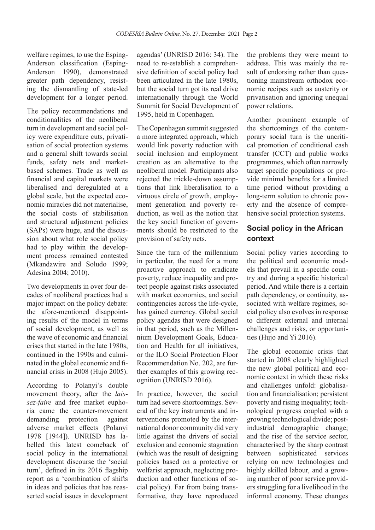welfare regimes, to use the Esping-Anderson classification (Esping-Anderson 1990), demonstrated greater path dependency, resisting the dismantling of state-led development for a longer period.

The policy recommendations and conditionalities of the neoliberal turn in development and social policy were expenditure cuts, privatisation of social protection systems and a general shift towards social funds, safety nets and marketbased schemes. Trade as well as financial and capital markets were liberalised and deregulated at a global scale, but the expected economic miracles did not materialise, the social costs of stabilisation and structural adjustment policies (SAPs) were huge, and the discussion about what role social policy had to play within the development process remained contested (Mkandawire and Soludo 1999; Adesina 2004; 2010).

Two developments in over four decades of neoliberal practices had a major impact on the policy debate: the afore-mentioned disappointing results of the model in terms of social development, as well as the wave of economic and financial crises that started in the late 1980s, continued in the 1990s and culminated in the global economic and financial crisis in 2008 (Hujo 2005).

According to Polanyi's double movement theory, after the *laissez-faire* and free market euphoria came the counter-movement demanding protection against adverse market effects (Polanyi 1978 [1944]). UNRISD has labelled this latest comeback of social policy in the international development discourse the 'social turn', defined in its 2016 flagship report as a 'combination of shifts in ideas and policies that has reasserted social issues in development agendas' (UNRISD 2016: 34). The need to re-establish a comprehensive definition of social policy had been articulated in the late 1980s, but the social turn got its real drive internationally through the World Summit for Social Development of 1995, held in Copenhagen.

The Copenhagen summit suggested a more integrated approach, which would link poverty reduction with social inclusion and employment creation as an alternative to the neoliberal model. Participants also rejected the trickle-down assumptions that link liberalisation to a virtuous circle of growth, employment generation and poverty reduction, as well as the notion that the key social function of governments should be restricted to the provision of safety nets.

Since the turn of the millennium in particular, the need for a more proactive approach to eradicate poverty, reduce inequality and protect people against risks associated with market economies, and social contingencies across the life-cycle, has gained currency. Global social policy agendas that were designed in that period, such as the Millennium Development Goals, Education and Health for all initiatives, or the ILO Social Protection Floor Recommendation No. 202, are further examples of this growing recognition (UNRISD 2016).

In practice, however, the social turn had severe shortcomings. Several of the key instruments and interventions promoted by the international donor community did very little against the drivers of social exclusion and economic stagnation (which was the result of designing policies based on a protective or welfarist approach, neglecting production and other functions of social policy). Far from being transformative, they have reproduced the problems they were meant to address. This was mainly the result of endorsing rather than questioning mainstream orthodox economic recipes such as austerity or privatisation and ignoring unequal power relations.

Another prominent example of the shortcomings of the contemporary social turn is the uncritical promotion of conditional cash transfer (CCT) and public works programmes, which often narrowly target specific populations or provide minimal benefits for a limited time period without providing a long-term solution to chronic poverty and the absence of comprehensive social protection systems.

### **Social policy in the African context**

Social policy varies according to the political and economic models that prevail in a specific country and during a specific historical period. And while there is a certain path dependency, or continuity, associated with welfare regimes, social policy also evolves in response to different external and internal challenges and risks, or opportunities (Hujo and Yi 2016).

The global economic crisis that started in 2008 clearly highlighted the new global political and economic context in which these risks and challenges unfold: globalisation and financialisation; persistent poverty and rising inequality; technological progress coupled with a growing technological divide; postindustrial demographic change; and the rise of the service sector, characterised by the sharp contrast between sophisticated services relying on new technologies and highly skilled labour, and a growing number of poor service providers struggling for a livelihood in the informal economy. These changes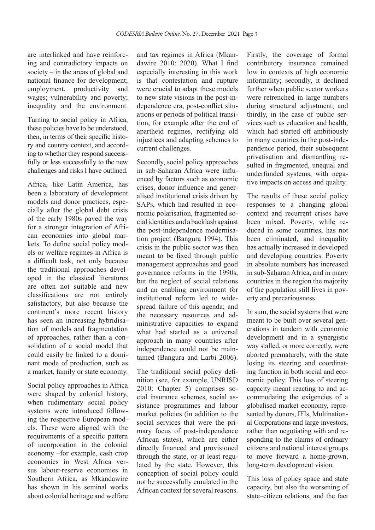are interlinked and have reinforcing and contradictory impacts on society – in the areas of global and national finance for development; employment, productivity and wages; vulnerability and poverty; inequality and the environment.

Turning to social policy in Africa, these policies have to be understood, then, in terms of their specific history and country context, and according to whether they respond successfully or less successfully to the new challenges and risks I have outlined.

Africa, like Latin America, has been a laboratory of development models and donor practices, especially after the global debt crisis of the early 1980s paved the way for a stronger integration of African economies into global markets. To define social policy models or welfare regimes in Africa is a difficult task, not only because the traditional approaches developed in the classical literatures are often not suitable and new classifications are not entirely satisfactory, but also because the continent's more recent history has seen an increasing hybridisation of models and fragmentation of approaches, rather than a consolidation of a social model that could easily be linked to a dominant mode of production, such as a market, family or state economy.

Social policy approaches in Africa were shaped by colonial history, when rudimentary social policy systems were introduced following the respective European models. These were aligned with the requirements of a specific pattern of incorporation in the colonial economy –for example, cash crop economies in West Africa versus labour-reserve economies in Southern Africa, as Mkandawire has shown in his seminal works about colonial heritage and welfare

and tax regimes in Africa (Mkandawire 2010; 2020). What I find especially interesting in this work is that contestation and rupture were crucial to adapt these models to new state visions in the post-independence era, post-conflict situations or periods of political transition, for example after the end of apartheid regimes, rectifying old injustices and adapting schemes to current challenges.

Secondly, social policy approaches in sub-Saharan Africa were influenced by factors such as economic crises, donor influence and generalised institutional crisis driven by SAPs, which had resulted in economic polarisation, fragmented social identities and a backlash against the post-independence modernisation project (Bangura 1994). This crisis in the public sector was then meant to be fixed through public management approaches and good governance reforms in the 1990s, but the neglect of social relations and an enabling environment for institutional reform led to widespread failure of this agenda; and the necessary resources and administrative capacities to expand what had started as a universal approach in many countries after independence could not be maintained (Bangura and Larbi 2006).

The traditional social policy definition (see, for example, UNRISD 2010: Chapter 5) comprises social insurance schemes, social assistance programmes and labour market policies (in addition to the social services that were the primary focus of post-independence African states), which are either directly financed and provisioned through the state, or at least regulated by the state. However, this conception of social policy could not be successfully emulated in the African context for several reasons. Firstly, the coverage of formal contributory insurance remained low in contexts of high economic informality; secondly, it declined further when public sector workers were retrenched in large numbers during structural adjustment; and thirdly, in the case of public services such as education and health, which had started off ambitiously in many countries in the post-independence period, their subsequent privatisation and dismantling resulted in fragmented, unequal and underfunded systems, with negative impacts on access and quality.

The results of these social policy responses to a changing global context and recurrent crises have been mixed. Poverty, while reduced in some countries, has not been eliminated, and inequality has actually increased in developed and developing countries. Poverty in absolute numbers has increased in sub-Saharan Africa, and in many countries in the region the majority of the population still lives in poverty and precariousness.

In sum, the social systems that were meant to be built over several generations in tandem with economic development and in a synergistic way stalled, or more correctly, were aborted prematurely, with the state losing its steering and coordinating function in both social and economic policy. This loss of steering capacity meant reacting to and accommodating the exigencies of a globalised market economy, represented by donors, IFIs, Multinational Corporations and large investors, rather than negotiating with and responding to the claims of ordinary citizens and national interest groups to move forward a home-grown, long-term development vision.

This loss of policy space and state capacity, but also the worsening of state–citizen relations, and the fact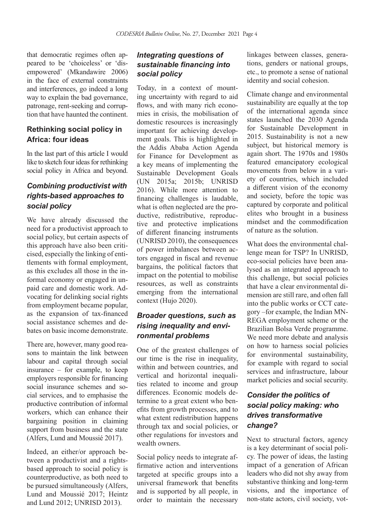that democratic regimes often appeared to be 'choiceless' or 'disempowered' (Mkandawire 2006) in the face of external constraints and interferences, go indeed a long way to explain the bad governance, patronage, rent-seeking and corruption that have haunted the continent.

### **Rethinking social policy in Africa: four ideas**

In the last part of this article I would like to sketch four ideas for rethinking social policy in Africa and beyond.

## *Combining productivist with rights-based approaches to social policy*

We have already discussed the need for a productivist approach to social policy, but certain aspects of this approach have also been criticised, especially the linking of entitlements with formal employment, as this excludes all those in the informal economy or engaged in unpaid care and domestic work. Advocating for delinking social rights from employment became popular, as the expansion of tax-financed social assistance schemes and debates on basic income demonstrate.

There are, however, many good reasons to maintain the link between labour and capital through social insurance – for example, to keep employers responsible for financing social insurance schemes and social services, and to emphasise the productive contribution of informal workers, which can enhance their bargaining position in claiming support from business and the state (Alfers, Lund and Moussié 2017).

Indeed, an either/or approach between a productivist and a rightsbased approach to social policy is counterproductive, as both need to be pursued simultaneously (Alfers, Lund and Moussié 2017; Heintz and Lund 2012; UNRISD 2013).

#### *Integrating questions of sustainable financing into social policy*

Today, in a context of mounting uncertainty with regard to aid flows, and with many rich economies in crisis, the mobilisation of domestic resources is increasingly important for achieving development goals. This is highlighted in the Addis Ababa Action Agenda for Finance for Development as a key means of implementing the Sustainable Development Goals (UN 2015a; 2015b; UNRISD 2016). While more attention to financing challenges is laudable, what is often neglected are the productive, redistributive, reproductive and protective implications of different financing instruments (UNRISD 2010), the consequences of power imbalances between actors engaged in fiscal and revenue bargains, the political factors that impact on the potential to mobilise resources, as well as constraints emerging from the international context (Hujo 2020).

## *Broader questions, such as rising inequality and environmental problems*

One of the greatest challenges of our time is the rise in inequality, within and between countries, and vertical and horizontal inequalities related to income and group differences. Economic models determine to a great extent who benefits from growth processes, and to what extent redistribution happens through tax and social policies, or other regulations for investors and wealth owners.

Social policy needs to integrate affirmative action and interventions targeted at specific groups into a universal framework that benefits and is supported by all people, in order to maintain the necessary linkages between classes, generations, genders or national groups, etc., to promote a sense of national identity and social cohesion.

Climate change and environmental sustainability are equally at the top of the international agenda since states launched the 2030 Agenda for Sustainable Development in 2015. Sustainability is not a new subject, but historical memory is again short. The 1970s and 1980s featured emancipatory ecological movements from below in a variety of countries, which included a different vision of the economy and society, before the topic was captured by corporate and political elites who brought in a business mindset and the commodification of nature as the solution.

What does the environmental challenge mean for TSP? In UNRISD, eco-social policies have been analysed as an integrated approach to this challenge, but social policies that have a clear environmental dimension are still rare, and often fall into the public works or CCT category –for example, the Indian MN-REGA employment scheme or the Brazilian Bolsa Verde programme. We need more debate and analysis on how to harness social policies for environmental sustainability, for example with regard to social services and infrastructure, labour market policies and social security.

# *Consider the politics of social policy making: who drives transformative change?*

Next to structural factors, agency is a key determinant of social policy. The power of ideas, the lasting impact of a generation of African leaders who did not shy away from substantive thinking and long-term visions, and the importance of non-state actors, civil society, vot-